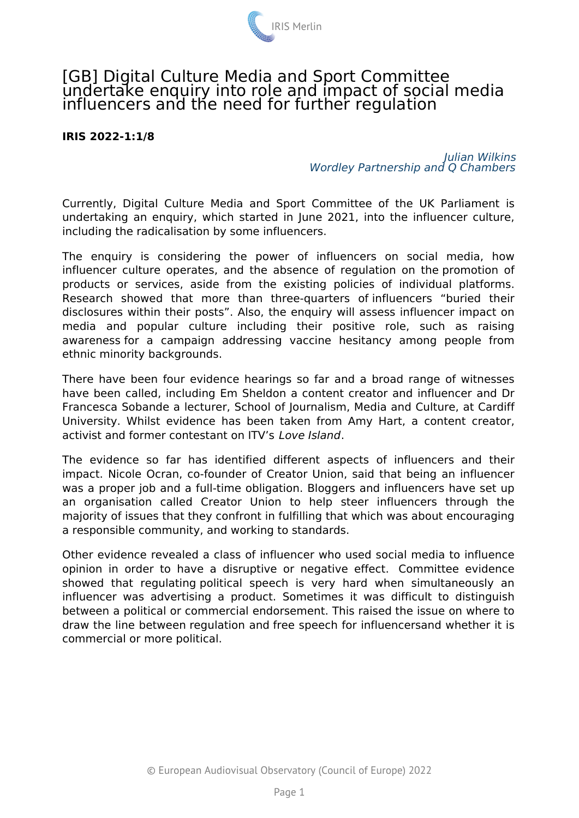

## [GB] Digital Culture Media and Sport Committee undertake enquiry into role and impact of social media influencers and the need for further regulation

## **IRIS 2022-1:1/8**

## *Julian Wilkins Wordley Partnership and Q Chambers*

Currently, Digital Culture Media and Sport Committee of the UK Parliament is undertaking an enquiry, which started in June 2021, into the influencer culture, including the radicalisation by some influencers.

The enquiry is considering the power of influencers on social media, how influencer culture operates, and the absence of regulation on the promotion of products or services, aside from the existing policies of individual platforms. Research showed that more than three-quarters of influencers "buried their disclosures within their posts". Also, the enquiry will assess influencer impact on media and popular culture including their positive role, such as raising awareness for a campaign addressing vaccine hesitancy among people from ethnic minority backgrounds.

There have been four evidence hearings so far and a broad range of witnesses have been called, including Em Sheldon a content creator and influencer and Dr Francesca Sobande a lecturer, School of Journalism, Media and Culture, at Cardiff University. Whilst evidence has been taken from Amy Hart, a content creator, activist and former contestant on ITV's *Love Island*.

The evidence so far has identified different aspects of influencers and their impact. Nicole Ocran, co-founder of Creator Union, said that being an influencer was a proper job and a full-time obligation. Bloggers and influencers have set up an organisation called Creator Union to help steer influencers through the majority of issues that they confront in fulfilling that which was about encouraging a responsible community, and working to standards.

Other evidence revealed a class of influencer who used social media to influence opinion in order to have a disruptive or negative effect. Committee evidence showed that regulating political speech is very hard when simultaneously an influencer was advertising a product. Sometimes it was difficult to distinguish between a political or commercial endorsement. This raised the issue on where to draw the line between regulation and free speech for influencersand whether it is commercial or more political.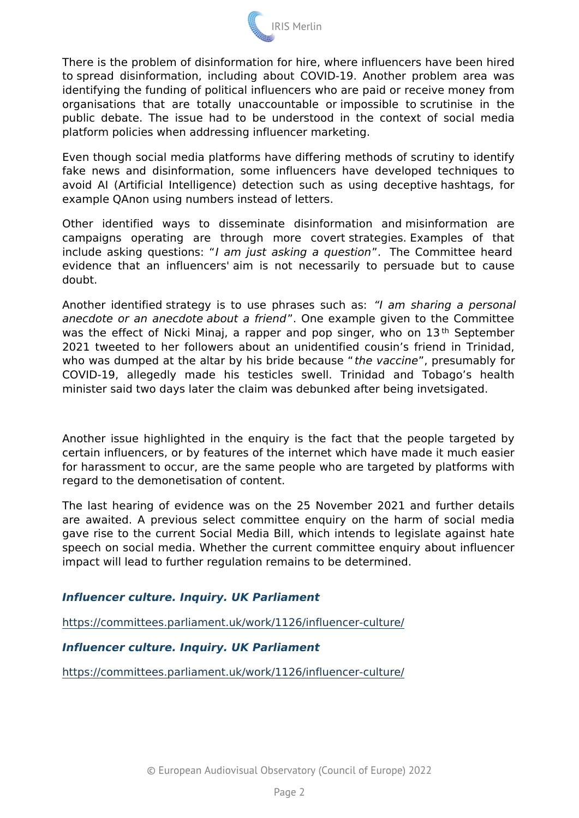There is the problem of disinformation for hire, where influencers to spread disinformation, including about COVID-19. Another p identifying the funding of political influencers who are paid or red organisations that are totally unaccountable or impossible to public debate. The issue had to be understood in the context platform policies when addressing influencer marketing.þÿ

Even though social media platforms have differing methods of scr fake news and disinformation, some influencers have develope avoid AI (Artificial Intelligence) detection such as using dece example QAnon using numbers instead of letters.

Other identified ways to disseminate disinformation and m campaigns operating are through more covert strategies. E include asking questiaomsjust asking a queTshteonCommittee heard evidence that an influencers' aim is not necessarily to persu doubt.

Another identified strategy is to use phraasmessissancihing a sa: personal anecdote or an anecdote about O ane free madinple given to the Commit was the effect of Nicki Minaj, a rapper and pbpSsipntgerthewho c 2021 tweeted to her followers about an unidentified cousin s f who was dumped at the altar by his bthied evaboeccion unersiones by for COVID-19, allegedly made his testicles swell. Trinidad an minister said two days later the claim was debunked after being in

Another issue highlighted in the enquiry is the fact that the p certain influencers, or by features of the internet which have mad for harassment to occur, are the same people who are targeted b regard to the demonetisation of content.

The last hearing of evidence was on the 25 November 2021 and are awaited. A previous select committee enquiry on the harm gave rise to the current Social Media Bill, which intends to leg speech on social media. Whether the current committee enquiry a impact will lead to further regulation remains to be determined.

Influencer culture. Inquiry. UK Parliament

[https://committees.parliament.uk/work/1126/i](https://committees.parliament.uk/work/1126/influencer-culture/)nfluencer-culture/

Influencer culture. Inquiry. UK Parliament

[https://committees.parliament.uk/work/1126/i](https://committees.parliament.uk/work/1126/influencer-culture/)nfluencer-culture/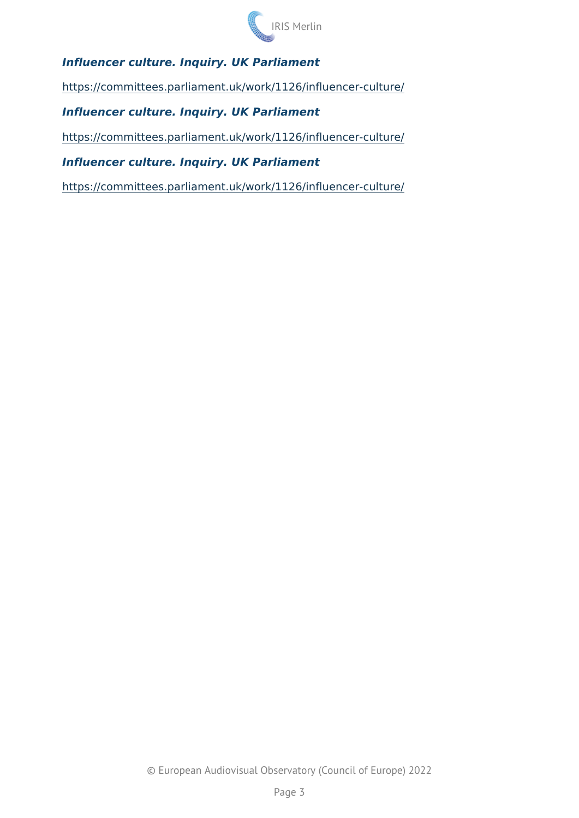Influencer culture. Inquiry. UK Parliament

[https://committees.parliament.uk/work/1126/i](https://committees.parliament.uk/work/1126/influencer-culture/)nfluencer-culture/

Influencer culture. Inquiry. UK Parliament

[https://committees.parliament.uk/work/1126/i](https://committees.parliament.uk/work/1126/influencer-culture/)nfluencer-culture/

Influencer culture. Inquiry. UK Parliament

[https://committees.parliament.uk/work/1126/i](https://committees.parliament.uk/work/1126/influencer-culture/)nfluencer-culture/